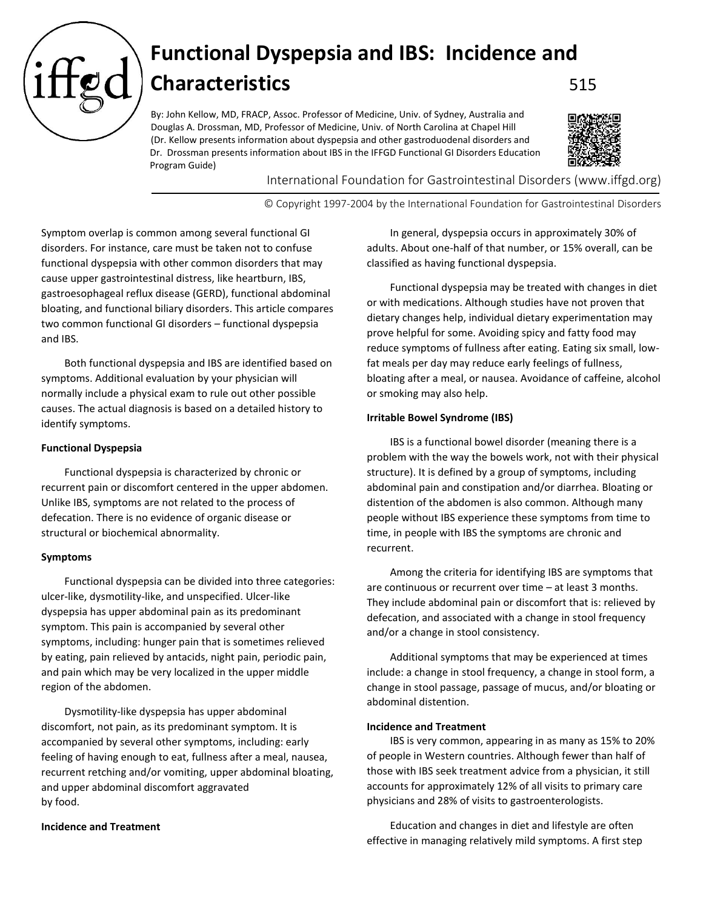

# **Functional Dyspepsia and IBS: Incidence and Characteristics** 515

By: John Kellow, MD, FRACP, Assoc. Professor of Medicine, Univ. of Sydney, Australia and Douglas A. Drossman, MD, Professor of Medicine, Univ. of North Carolina at Chapel Hill (Dr. Kellow presents information about dyspepsia and other gastroduodenal disorders and Dr. Drossman presents information about IBS in the IFFGD Functional GI Disorders Education Program Guide)



International Foundation for Gastrointestinal Disorders (www.iffgd.org)

© Copyright 1997-2004 by the International Foundation for Gastrointestinal Disorders

Symptom overlap is common among several functional GI disorders. For instance, care must be taken not to confuse functional dyspepsia with other common disorders that may cause upper gastrointestinal distress, like heartburn, IBS, gastroesophageal reflux disease (GERD), functional abdominal bloating, and functional biliary disorders. This article compares two common functional GI disorders – functional dyspepsia and IBS.

Both functional dyspepsia and IBS are identified based on symptoms. Additional evaluation by your physician will normally include a physical exam to rule out other possible causes. The actual diagnosis is based on a detailed history to identify symptoms.

### **Functional Dyspepsia**

Functional dyspepsia is characterized by chronic or recurrent pain or discomfort centered in the upper abdomen. Unlike IBS, symptoms are not related to the process of defecation. There is no evidence of organic disease or structural or biochemical abnormality.

#### **Symptoms**

Functional dyspepsia can be divided into three categories: ulcer-like, dysmotility-like, and unspecified. Ulcer-like dyspepsia has upper abdominal pain as its predominant symptom. This pain is accompanied by several other symptoms, including: hunger pain that is sometimes relieved by eating, pain relieved by antacids, night pain, periodic pain, and pain which may be very localized in the upper middle region of the abdomen.

Dysmotility-like dyspepsia has upper abdominal discomfort, not pain, as its predominant symptom. It is accompanied by several other symptoms, including: early feeling of having enough to eat, fullness after a meal, nausea, recurrent retching and/or vomiting, upper abdominal bloating, and upper abdominal discomfort aggravated by food.

#### **Incidence and Treatment**

In general, dyspepsia occurs in approximately 30% of adults. About one-half of that number, or 15% overall, can be classified as having functional dyspepsia.

Functional dyspepsia may be treated with changes in diet or with medications. Although studies have not proven that dietary changes help, individual dietary experimentation may prove helpful for some. Avoiding spicy and fatty food may reduce symptoms of fullness after eating. Eating six small, lowfat meals per day may reduce early feelings of fullness, bloating after a meal, or nausea. Avoidance of caffeine, alcohol or smoking may also help.

#### **Irritable Bowel Syndrome (IBS)**

IBS is a functional bowel disorder (meaning there is a problem with the way the bowels work, not with their physical structure). It is defined by a group of symptoms, including abdominal pain and constipation and/or diarrhea. Bloating or distention of the abdomen is also common. Although many people without IBS experience these symptoms from time to time, in people with IBS the symptoms are chronic and recurrent.

Among the criteria for identifying IBS are symptoms that are continuous or recurrent over time – at least 3 months. They include abdominal pain or discomfort that is: relieved by defecation, and associated with a change in stool frequency and/or a change in stool consistency.

Additional symptoms that may be experienced at times include: a change in stool frequency, a change in stool form, a change in stool passage, passage of mucus, and/or bloating or abdominal distention.

#### **Incidence and Treatment**

IBS is very common, appearing in as many as 15% to 20% of people in Western countries. Although fewer than half of those with IBS seek treatment advice from a physician, it still accounts for approximately 12% of all visits to primary care physicians and 28% of visits to gastroenterologists.

Education and changes in diet and lifestyle are often effective in managing relatively mild symptoms. A first step